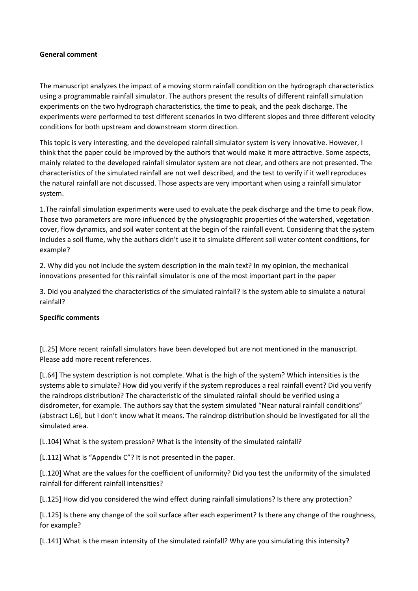## **General comment**

The manuscript analyzes the impact of a moving storm rainfall condition on the hydrograph characteristics using a programmable rainfall simulator. The authors present the results of different rainfall simulation experiments on the two hydrograph characteristics, the time to peak, and the peak discharge. The experiments were performed to test different scenarios in two different slopes and three different velocity conditions for both upstream and downstream storm direction.

This topic is very interesting, and the developed rainfall simulator system is very innovative. However, I think that the paper could be improved by the authors that would make it more attractive. Some aspects, mainly related to the developed rainfall simulator system are not clear, and others are not presented. The characteristics of the simulated rainfall are not well described, and the test to verify if it well reproduces the natural rainfall are not discussed. Those aspects are very important when using a rainfall simulator system.

1.The rainfall simulation experiments were used to evaluate the peak discharge and the time to peak flow. Those two parameters are more influenced by the physiographic properties of the watershed, vegetation cover, flow dynamics, and soil water content at the begin of the rainfall event. Considering that the system includes a soil flume, why the authors didn't use it to simulate different soil water content conditions, for example?

2. Why did you not include the system description in the main text? In my opinion, the mechanical innovations presented for this rainfall simulator is one of the most important part in the paper

3. Did you analyzed the characteristics of the simulated rainfall? Is the system able to simulate a natural rainfall?

## **Specific comments**

[L.25] More recent rainfall simulators have been developed but are not mentioned in the manuscript. Please add more recent references.

[L.64] The system description is not complete. What is the high of the system? Which intensities is the systems able to simulate? How did you verify if the system reproduces a real rainfall event? Did you verify the raindrops distribution? The characteristic of the simulated rainfall should be verified using a disdrometer, for example. The authors say that the system simulated "Near natural rainfall conditions" (abstract L.6], but I don't know what it means. The raindrop distribution should be investigated for all the simulated area.

[L.104] What is the system pression? What is the intensity of the simulated rainfall?

[L.112] What is "Appendix C"? It is not presented in the paper.

[L.120] What are the values for the coefficient of uniformity? Did you test the uniformity of the simulated rainfall for different rainfall intensities?

[L.125] How did you considered the wind effect during rainfall simulations? Is there any protection?

[L.125] Is there any change of the soil surface after each experiment? Is there any change of the roughness, for example?

[L.141] What is the mean intensity of the simulated rainfall? Why are you simulating this intensity?